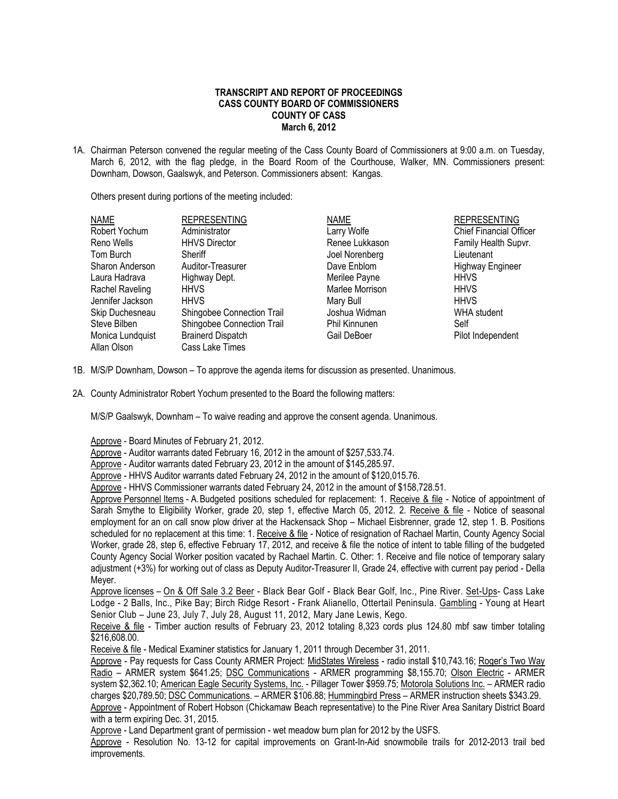## **TRANSCRIPT AND REPORT OF PROCEEDINGS CASS COUNTY BOARD OF COMMISSIONERS COUNTY OF CASS March 6, 2012**

1A. Chairman Peterson convened the regular meeting of the Cass County Board of Commissioners at 9:00 a.m. on Tuesday, March 6, 2012, with the flag pledge, in the Board Room of the Courthouse, Walker, MN. Commissioners present: Downham, Dowson, Gaalswyk, and Peterson. Commissioners absent: Kangas.

Others present during portions of the meeting included:

| <b>NAME</b>      | <b>REPRESENTING</b>        | <b>NAME</b>          | <b>REPRESENTING</b>            |
|------------------|----------------------------|----------------------|--------------------------------|
| Robert Yochum    | Administrator              | Larry Wolfe          | <b>Chief Financial Officer</b> |
| Reno Wells       | <b>HHVS Director</b>       | Renee Lukkason       | Family Health Supvr.           |
| Tom Burch        | Sheriff                    | Joel Norenberg       | Lieutenant                     |
| Sharon Anderson  | Auditor-Treasurer          | Dave Enblom          | <b>Highway Engineer</b>        |
| Laura Hadrava    | Highway Dept.              | Merilee Payne        | <b>HHVS</b>                    |
| Rachel Raveling  | <b>HHVS</b>                | Marlee Morrison      | <b>HHVS</b>                    |
| Jennifer Jackson | <b>HHVS</b>                | Mary Bull            | <b>HHVS</b>                    |
| Skip Duchesneau  | Shingobee Connection Trail | Joshua Widman        | WHA student                    |
| Steve Bilben     | Shingobee Connection Trail | <b>Phil Kinnunen</b> | Self                           |
| Monica Lundquist | <b>Brainerd Dispatch</b>   | Gail DeBoer          | Pilot Independent              |
| Allan Olson      | Cass Lake Times            |                      |                                |

- 1B. M/S/P Downham, Dowson To approve the agenda items for discussion as presented. Unanimous.
- 2A. County Administrator Robert Yochum presented to the Board the following matters:

M/S/P Gaalswyk, Downham – To waive reading and approve the consent agenda. Unanimous.

Approve - Board Minutes of February 21, 2012.

Approve - Auditor warrants dated February 16, 2012 in the amount of \$257,533.74.

Approve - Auditor warrants dated February 23, 2012 in the amount of \$145,285.97.

Approve - HHVS Auditor warrants dated February 24, 2012 in the amount of \$120,015.76.

Approve - HHVS Commissioner warrants dated February 24, 2012 in the amount of \$158,728.51.

Approve Personnel Items - A.Budgeted positions scheduled for replacement: 1. Receive & file - Notice of appointment of Sarah Smythe to Eligibility Worker, grade 20, step 1, effective March 05, 2012. 2. Receive & file - Notice of seasonal employment for an on call snow plow driver at the Hackensack Shop – Michael Eisbrenner, grade 12, step 1. B. Positions scheduled for no replacement at this time: 1. Receive & file - Notice of resignation of Rachael Martin, County Agency Social Worker, grade 28, step 6, effective February 17, 2012, and receive & file the notice of intent to table filling of the budgeted County Agency Social Worker position vacated by Rachael Martin. C. Other: 1. Receive and file notice of temporary salary adjustment (+3%) for working out of class as Deputy Auditor-Treasurer II, Grade 24, effective with current pay period - Della Meyer.

Approve licenses – On & Off Sale 3.2 Beer - Black Bear Golf - Black Bear Golf, Inc., Pine River. Set-Ups- Cass Lake Lodge - 2 Balls, Inc., Pike Bay; Birch Ridge Resort - Frank Alianello, Ottertail Peninsula. Gambling - Young at Heart Senior Club – June 23, July 7, July 28, August 11, 2012, Mary Jane Lewis, Kego.

Receive & file - Timber auction results of February 23, 2012 totaling 8,323 cords plus 124.80 mbf saw timber totaling \$216,608.00.

Receive & file - Medical Examiner statistics for January 1, 2011 through December 31, 2011.

Approve - Pay requests for Cass County ARMER Project: MidStates Wireless - radio install \$10,743.16; Roger's Two Way Radio – ARMER system \$641.25; DSC Communications - ARMER programming \$8,155.70; Olson Electric - ARMER system \$2,362.10; American Eagle Security Systems, Inc. - Pillager Tower \$959.75; Motorola Solutions Inc. – ARMER radio charges \$20,789.50; DSC Communications. – ARMER \$106.88; Hummingbird Press – ARMER instruction sheets \$343.29. Approve - Appointment of Robert Hobson (Chickamaw Beach representative) to the Pine River Area Sanitary District Board with a term expiring Dec. 31, 2015.

Approve - Land Department grant of permission - wet meadow burn plan for 2012 by the USFS.

Approve - Resolution No. 13-12 for capital improvements on Grant-In-Aid snowmobile trails for 2012-2013 trail bed improvements.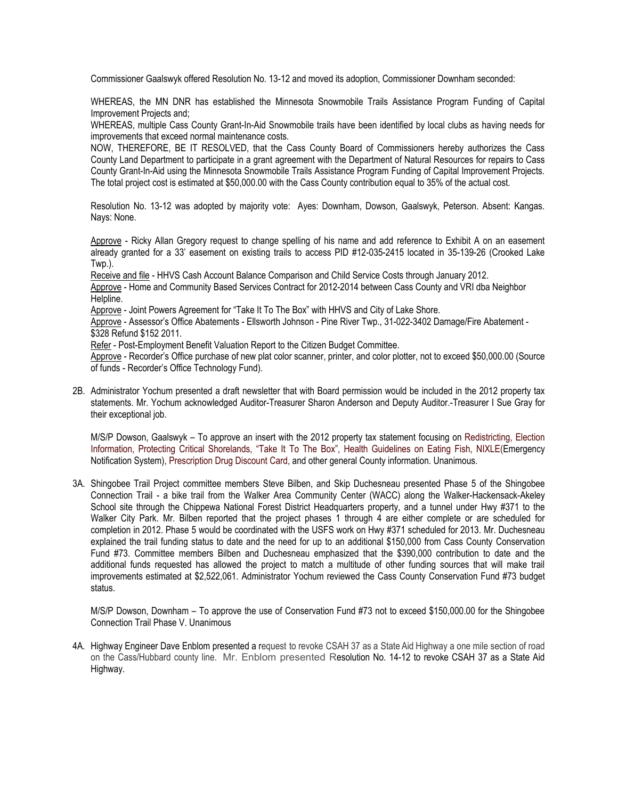Commissioner Gaalswyk offered Resolution No. 13-12 and moved its adoption, Commissioner Downham seconded:

WHEREAS, the MN DNR has established the Minnesota Snowmobile Trails Assistance Program Funding of Capital Improvement Projects and;

WHEREAS, multiple Cass County Grant-In-Aid Snowmobile trails have been identified by local clubs as having needs for improvements that exceed normal maintenance costs.

NOW, THEREFORE, BE IT RESOLVED, that the Cass County Board of Commissioners hereby authorizes the Cass County Land Department to participate in a grant agreement with the Department of Natural Resources for repairs to Cass County Grant-In-Aid using the Minnesota Snowmobile Trails Assistance Program Funding of Capital Improvement Projects. The total project cost is estimated at \$50,000.00 with the Cass County contribution equal to 35% of the actual cost.

Resolution No. 13-12 was adopted by majority vote: Ayes: Downham, Dowson, Gaalswyk, Peterson. Absent: Kangas. Nays: None.

Approve - Ricky Allan Gregory request to change spelling of his name and add reference to Exhibit A on an easement already granted for a 33' easement on existing trails to access PID #12-035-2415 located in 35-139-26 (Crooked Lake Twp.).

Receive and file - HHVS Cash Account Balance Comparison and Child Service Costs through January 2012.

Approve - Home and Community Based Services Contract for 2012-2014 between Cass County and VRI dba Neighbor Helpline.

Approve - Joint Powers Agreement for "Take It To The Box" with HHVS and City of Lake Shore.

Approve - Assessor's Office Abatements - Ellsworth Johnson - Pine River Twp., 31-022-3402 Damage/Fire Abatement - \$328 Refund \$152 2011.

Refer - Post-Employment Benefit Valuation Report to the Citizen Budget Committee.

Approve - Recorder's Office purchase of new plat color scanner, printer, and color plotter, not to exceed \$50,000.00 (Source of funds - Recorder's Office Technology Fund).

2B. Administrator Yochum presented a draft newsletter that with Board permission would be included in the 2012 property tax statements. Mr. Yochum acknowledged Auditor-Treasurer Sharon Anderson and Deputy Auditor.-Treasurer I Sue Gray for their exceptional job.

M/S/P Dowson, Gaalswyk – To approve an insert with the 2012 property tax statement focusing on Redistricting, Election Information, Protecting Critical Shorelands, "Take It To The Box", Health Guidelines on Eating Fish, NIXLE(Emergency Notification System), Prescription Drug Discount Card, and other general County information. Unanimous.

3A. Shingobee Trail Project committee members Steve Bilben, and Skip Duchesneau presented Phase 5 of the Shingobee Connection Trail - a bike trail from the Walker Area Community Center (WACC) along the Walker-Hackensack-Akeley School site through the Chippewa National Forest District Headquarters property, and a tunnel under Hwy #371 to the Walker City Park. Mr. Bilben reported that the project phases 1 through 4 are either complete or are scheduled for completion in 2012. Phase 5 would be coordinated with the USFS work on Hwy #371 scheduled for 2013. Mr. Duchesneau explained the trail funding status to date and the need for up to an additional \$150,000 from Cass County Conservation Fund #73. Committee members Bilben and Duchesneau emphasized that the \$390,000 contribution to date and the additional funds requested has allowed the project to match a multitude of other funding sources that will make trail improvements estimated at \$2,522,061. Administrator Yochum reviewed the Cass County Conservation Fund #73 budget status.

M/S/P Dowson, Downham – To approve the use of Conservation Fund #73 not to exceed \$150,000.00 for the Shingobee Connection Trail Phase V. Unanimous

4A. Highway Engineer Dave Enblom presented a request to revoke CSAH 37 as a State Aid Highway a one mile section of road on the Cass/Hubbard county line. Mr. Enblom presented Resolution No. 14-12 to revoke CSAH 37 as a State Aid Highway.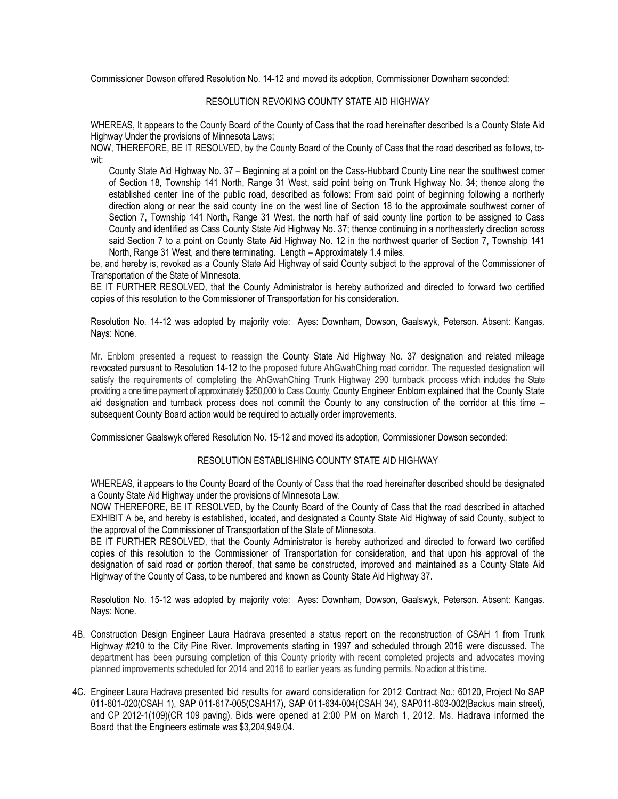Commissioner Dowson offered Resolution No. 14-12 and moved its adoption, Commissioner Downham seconded:

## RESOLUTION REVOKING COUNTY STATE AID HIGHWAY

WHEREAS, It appears to the County Board of the County of Cass that the road hereinafter described Is a County State Aid Highway Under the provisions of Minnesota Laws;

NOW, THEREFORE, BE IT RESOLVED, by the County Board of the County of Cass that the road described as follows, towit:

County State Aid Highway No. 37 – Beginning at a point on the Cass-Hubbard County Line near the southwest corner of Section 18, Township 141 North, Range 31 West, said point being on Trunk Highway No. 34; thence along the established center line of the public road, described as follows: From said point of beginning following a northerly direction along or near the said county line on the west line of Section 18 to the approximate southwest corner of Section 7, Township 141 North, Range 31 West, the north half of said county line portion to be assigned to Cass County and identified as Cass County State Aid Highway No. 37; thence continuing in a northeasterly direction across said Section 7 to a point on County State Aid Highway No. 12 in the northwest quarter of Section 7, Township 141 North, Range 31 West, and there terminating. Length – Approximately 1.4 miles.

be, and hereby is, revoked as a County State Aid Highway of said County subject to the approval of the Commissioner of Transportation of the State of Minnesota.

BE IT FURTHER RESOLVED, that the County Administrator is hereby authorized and directed to forward two certified copies of this resolution to the Commissioner of Transportation for his consideration.

Resolution No. 14-12 was adopted by majority vote: Ayes: Downham, Dowson, Gaalswyk, Peterson. Absent: Kangas. Nays: None.

Mr. Enblom presented a request to reassign the County State Aid Highway No. 37 designation and related mileage revocated pursuant to Resolution 14-12 to the proposed future AhGwahChing road corridor. The requested designation will satisfy the requirements of completing the AhGwahChing Trunk Highway 290 turnback process which includes the State providing a one time payment of approximately \$250,000 to Cass County. County Engineer Enblom explained that the County State aid designation and turnback process does not commit the County to any construction of the corridor at this time – subsequent County Board action would be required to actually order improvements.

Commissioner Gaalswyk offered Resolution No. 15-12 and moved its adoption, Commissioner Dowson seconded:

## RESOLUTION ESTABLISHING COUNTY STATE AID HIGHWAY

WHEREAS, it appears to the County Board of the County of Cass that the road hereinafter described should be designated a County State Aid Highway under the provisions of Minnesota Law.

NOW THEREFORE, BE IT RESOLVED, by the County Board of the County of Cass that the road described in attached EXHIBIT A be, and hereby is established, located, and designated a County State Aid Highway of said County, subject to the approval of the Commissioner of Transportation of the State of Minnesota.

BE IT FURTHER RESOLVED, that the County Administrator is hereby authorized and directed to forward two certified copies of this resolution to the Commissioner of Transportation for consideration, and that upon his approval of the designation of said road or portion thereof, that same be constructed, improved and maintained as a County State Aid Highway of the County of Cass, to be numbered and known as County State Aid Highway 37.

Resolution No. 15-12 was adopted by majority vote: Ayes: Downham, Dowson, Gaalswyk, Peterson. Absent: Kangas. Nays: None.

- 4B. Construction Design Engineer Laura Hadrava presented a status report on the reconstruction of CSAH 1 from Trunk Highway #210 to the City Pine River. Improvements starting in 1997 and scheduled through 2016 were discussed. The department has been pursuing completion of this County priority with recent completed projects and advocates moving planned improvements scheduled for 2014 and 2016 to earlier years as funding permits. No action at this time.
- 4C. Engineer Laura Hadrava presented bid results for award consideration for 2012 Contract No.: 60120, Project No SAP 011-601-020(CSAH 1), SAP 011-617-005(CSAH17), SAP 011-634-004(CSAH 34), SAP011-803-002(Backus main street), and CP 2012-1(109)(CR 109 paving). Bids were opened at 2:00 PM on March 1, 2012. Ms. Hadrava informed the Board that the Engineers estimate was \$3,204,949.04.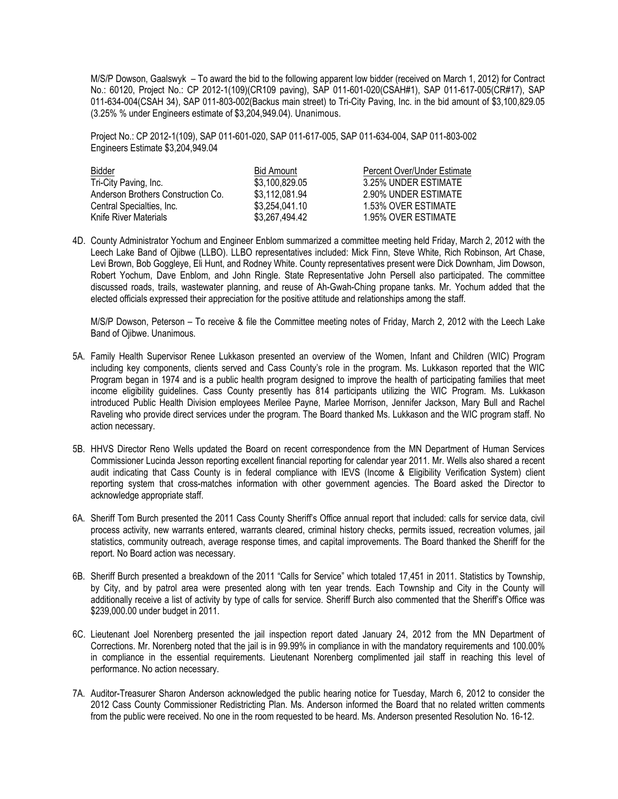M/S/P Dowson, Gaalswyk – To award the bid to the following apparent low bidder (received on March 1, 2012) for Contract No.: 60120, Project No.: CP 2012-1(109)(CR109 paving), SAP 011-601-020(CSAH#1), SAP 011-617-005(CR#17), SAP 011-634-004(CSAH 34), SAP 011-803-002(Backus main street) to Tri-City Paving, Inc. in the bid amount of \$3,100,829.05 (3.25% % under Engineers estimate of \$3,204,949.04). Unanimous.

Project No.: CP 2012-1(109), SAP 011-601-020, SAP 011-617-005, SAP 011-634-004, SAP 011-803-002 Engineers Estimate \$3,204,949.04

| Bidder                             | <b>Bid Amount</b> | Percent Over/Under Estimate |
|------------------------------------|-------------------|-----------------------------|
| Tri-City Paving, Inc.              | \$3,100,829.05    | 3.25% UNDER ESTIMATE        |
| Anderson Brothers Construction Co. | \$3,112,081.94    | 2.90% UNDER ESTIMATE        |
| Central Specialties, Inc.          | \$3.254.041.10    | 1.53% OVER ESTIMATE         |
| Knife River Materials              | \$3,267,494.42    | 1.95% OVER ESTIMATE         |

4D. County Administrator Yochum and Engineer Enblom summarized a committee meeting held Friday, March 2, 2012 with the Leech Lake Band of Ojibwe (LLBO). LLBO representatives included: Mick Finn, Steve White, Rich Robinson, Art Chase, Levi Brown, Bob Goggleye, Eli Hunt, and Rodney White. County representatives present were Dick Downham, Jim Dowson, Robert Yochum, Dave Enblom, and John Ringle. State Representative John Persell also participated. The committee discussed roads, trails, wastewater planning, and reuse of Ah-Gwah-Ching propane tanks. Mr. Yochum added that the elected officials expressed their appreciation for the positive attitude and relationships among the staff.

M/S/P Dowson, Peterson – To receive & file the Committee meeting notes of Friday, March 2, 2012 with the Leech Lake Band of Ojibwe. Unanimous.

- 5A. Family Health Supervisor Renee Lukkason presented an overview of the Women, Infant and Children (WIC) Program including key components, clients served and Cass County's role in the program. Ms. Lukkason reported that the WIC Program began in 1974 and is a public health program designed to improve the health of participating families that meet income eligibility guidelines. Cass County presently has 814 participants utilizing the WIC Program. Ms. Lukkason introduced Public Health Division employees Merilee Payne, Marlee Morrison, Jennifer Jackson, Mary Bull and Rachel Raveling who provide direct services under the program. The Board thanked Ms. Lukkason and the WIC program staff. No action necessary.
- 5B. HHVS Director Reno Wells updated the Board on recent correspondence from the MN Department of Human Services Commissioner Lucinda Jesson reporting excellent financial reporting for calendar year 2011. Mr. Wells also shared a recent audit indicating that Cass County is in federal compliance with IEVS (Income & Eligibility Verification System) client reporting system that cross-matches information with other government agencies. The Board asked the Director to acknowledge appropriate staff.
- 6A. Sheriff Tom Burch presented the 2011 Cass County Sheriff's Office annual report that included: calls for service data, civil process activity, new warrants entered, warrants cleared, criminal history checks, permits issued, recreation volumes, jail statistics, community outreach, average response times, and capital improvements. The Board thanked the Sheriff for the report. No Board action was necessary.
- 6B. Sheriff Burch presented a breakdown of the 2011 "Calls for Service" which totaled 17,451 in 2011. Statistics by Township, by City, and by patrol area were presented along with ten year trends. Each Township and City in the County will additionally receive a list of activity by type of calls for service. Sheriff Burch also commented that the Sheriff's Office was \$239,000.00 under budget in 2011.
- 6C. Lieutenant Joel Norenberg presented the jail inspection report dated January 24, 2012 from the MN Department of Corrections. Mr. Norenberg noted that the jail is in 99.99% in compliance in with the mandatory requirements and 100.00% in compliance in the essential requirements. Lieutenant Norenberg complimented jail staff in reaching this level of performance. No action necessary.
- 7A. Auditor-Treasurer Sharon Anderson acknowledged the public hearing notice for Tuesday, March 6, 2012 to consider the 2012 Cass County Commissioner Redistricting Plan. Ms. Anderson informed the Board that no related written comments from the public were received. No one in the room requested to be heard. Ms. Anderson presented Resolution No. 16-12.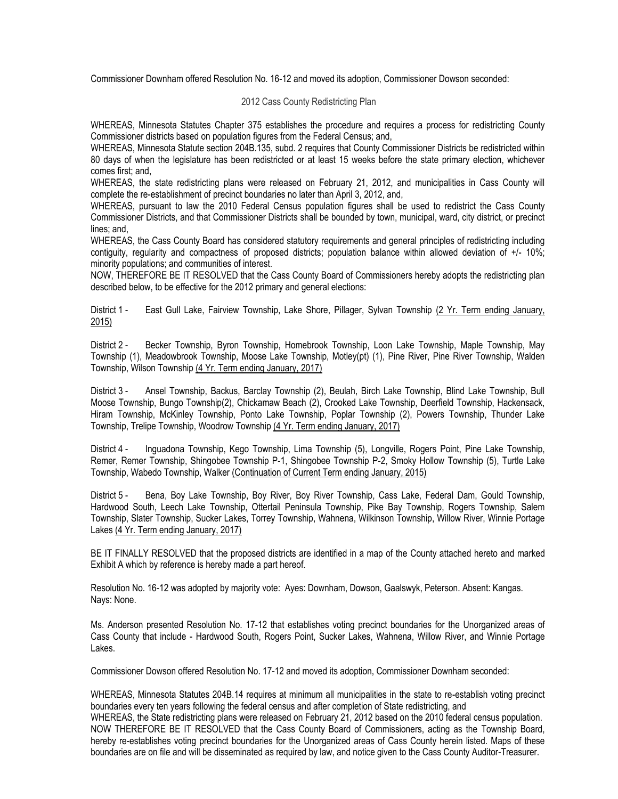Commissioner Downham offered Resolution No. 16-12 and moved its adoption, Commissioner Dowson seconded:

## 2012 Cass County Redistricting Plan

WHEREAS, Minnesota Statutes Chapter 375 establishes the procedure and requires a process for redistricting County Commissioner districts based on population figures from the Federal Census; and,

WHEREAS, Minnesota Statute section 204B.135, subd. 2 requires that County Commissioner Districts be redistricted within 80 days of when the legislature has been redistricted or at least 15 weeks before the state primary election, whichever comes first; and,

WHEREAS, the state redistricting plans were released on February 21, 2012, and municipalities in Cass County will complete the re-establishment of precinct boundaries no later than April 3, 2012, and,

WHEREAS, pursuant to law the 2010 Federal Census population figures shall be used to redistrict the Cass County Commissioner Districts, and that Commissioner Districts shall be bounded by town, municipal, ward, city district, or precinct lines; and,

WHEREAS, the Cass County Board has considered statutory requirements and general principles of redistricting including contiguity, regularity and compactness of proposed districts; population balance within allowed deviation of +/- 10%; minority populations; and communities of interest.

NOW, THEREFORE BE IT RESOLVED that the Cass County Board of Commissioners hereby adopts the redistricting plan described below, to be effective for the 2012 primary and general elections:

District 1 - East Gull Lake, Fairview Township, Lake Shore, Pillager, Sylvan Township (2 Yr. Term ending January, 2015)

District 2 - Becker Township, Byron Township, Homebrook Township, Loon Lake Township, Maple Township, May Township (1), Meadowbrook Township, Moose Lake Township, Motley(pt) (1), Pine River, Pine River Township, Walden Township, Wilson Township (4 Yr. Term ending January, 2017)

District 3 - Ansel Township, Backus, Barclay Township (2), Beulah, Birch Lake Township, Blind Lake Township, Bull Moose Township, Bungo Township(2), Chickamaw Beach (2), Crooked Lake Township, Deerfield Township, Hackensack, Hiram Township, McKinley Township, Ponto Lake Township, Poplar Township (2), Powers Township, Thunder Lake Township, Trelipe Township, Woodrow Township (4 Yr. Term ending January, 2017)

District 4 - Inguadona Township, Kego Township, Lima Township (5), Longville, Rogers Point, Pine Lake Township, Remer, Remer Township, Shingobee Township P-1, Shingobee Township P-2, Smoky Hollow Township (5), Turtle Lake Township, Wabedo Township, Walker (Continuation of Current Term ending January, 2015)

District 5 - Bena, Boy Lake Township, Boy River, Boy River Township, Cass Lake, Federal Dam, Gould Township, Hardwood South, Leech Lake Township, Ottertail Peninsula Township, Pike Bay Township, Rogers Township, Salem Township, Slater Township, Sucker Lakes, Torrey Township, Wahnena, Wilkinson Township, Willow River, Winnie Portage Lakes (4 Yr. Term ending January, 2017)

BE IT FINALLY RESOLVED that the proposed districts are identified in a map of the County attached hereto and marked Exhibit A which by reference is hereby made a part hereof.

Resolution No. 16-12 was adopted by majority vote: Ayes: Downham, Dowson, Gaalswyk, Peterson. Absent: Kangas. Nays: None.

Ms. Anderson presented Resolution No. 17-12 that establishes voting precinct boundaries for the Unorganized areas of Cass County that include - Hardwood South, Rogers Point, Sucker Lakes, Wahnena, Willow River, and Winnie Portage Lakes.

Commissioner Dowson offered Resolution No. 17-12 and moved its adoption, Commissioner Downham seconded:

WHEREAS, Minnesota Statutes 204B.14 requires at minimum all municipalities in the state to re-establish voting precinct boundaries every ten years following the federal census and after completion of State redistricting, and WHEREAS, the State redistricting plans were released on February 21, 2012 based on the 2010 federal census population. NOW THEREFORE BE IT RESOLVED that the Cass County Board of Commissioners, acting as the Township Board, hereby re-establishes voting precinct boundaries for the Unorganized areas of Cass County herein listed. Maps of these boundaries are on file and will be disseminated as required by law, and notice given to the Cass County Auditor-Treasurer.